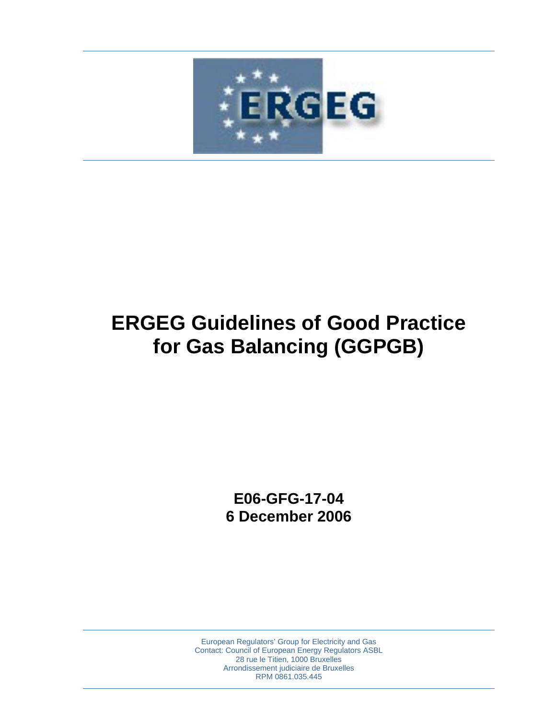

# **ERGEG Guidelines of Good Practice for Gas Balancing (GGPGB)**

**E06-GFG-17-04 6 December 2006** 

European Regulators' Group for Electricity and Gas Contact: Council of European Energy Regulators ASBL 28 rue le Titien, 1000 Bruxelles Arrondissement judiciaire de Bruxelles RPM 0861.035.445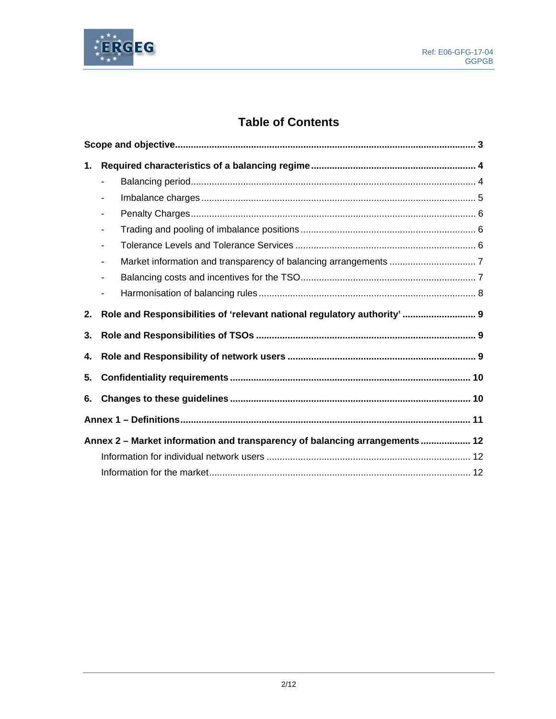

# **Table of Contents**

| 1. |                              |                                                                             |  |  |
|----|------------------------------|-----------------------------------------------------------------------------|--|--|
|    | $\blacksquare$               |                                                                             |  |  |
|    |                              |                                                                             |  |  |
|    | $\qquad \qquad \blacksquare$ |                                                                             |  |  |
|    |                              |                                                                             |  |  |
|    | $\qquad \qquad \blacksquare$ |                                                                             |  |  |
|    |                              |                                                                             |  |  |
|    | $\overline{\phantom{a}}$     |                                                                             |  |  |
|    |                              |                                                                             |  |  |
| 2. |                              | Role and Responsibilities of 'relevant national regulatory authority'  9    |  |  |
| 3. |                              |                                                                             |  |  |
| 4. |                              |                                                                             |  |  |
| 5. |                              |                                                                             |  |  |
| 6. |                              |                                                                             |  |  |
|    |                              |                                                                             |  |  |
|    |                              | Annex 2 - Market information and transparency of balancing arrangements  12 |  |  |
|    |                              |                                                                             |  |  |
|    |                              |                                                                             |  |  |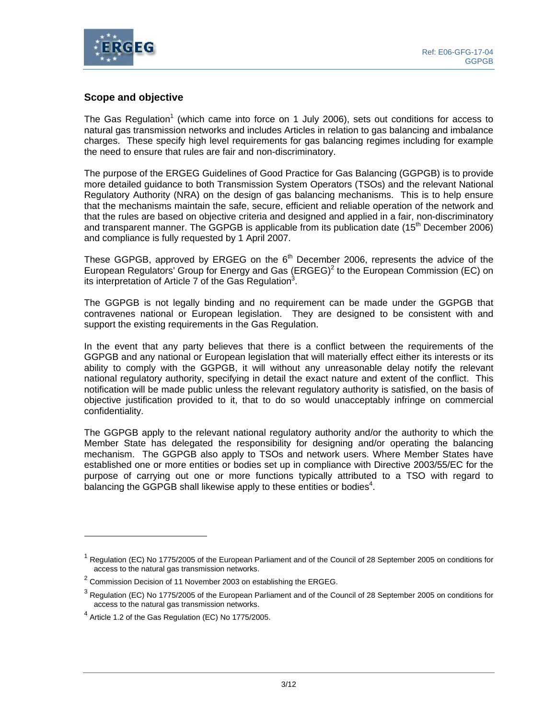

# **Scope and objective**

The Gas Regulation<sup>1</sup> (which came into force on 1 July 2006), sets out conditions for access to natural gas transmission networks and includes Articles in relation to gas balancing and imbalance charges. These specify high level requirements for gas balancing regimes including for example the need to ensure that rules are fair and non-discriminatory.

The purpose of the ERGEG Guidelines of Good Practice for Gas Balancing (GGPGB) is to provide more detailed guidance to both Transmission System Operators (TSOs) and the relevant National Regulatory Authority (NRA) on the design of gas balancing mechanisms. This is to help ensure that the mechanisms maintain the safe, secure, efficient and reliable operation of the network and that the rules are based on objective criteria and designed and applied in a fair, non-discriminatory and transparent manner. The GGPGB is applicable from its publication date  $(15<sup>th</sup>$  December 2006) and compliance is fully requested by 1 April 2007.

These GGPGB, approved by ERGEG on the  $6<sup>th</sup>$  December 2006, represents the advice of the European Regulators' Group for Energy and Gas  $(ERGEG)^2$  to the European Commission (EC) on its interpretation of Article 7 of the Gas Regulation<sup>3</sup>.

The GGPGB is not legally binding and no requirement can be made under the GGPGB that contravenes national or European legislation. They are designed to be consistent with and support the existing requirements in the Gas Regulation.

In the event that any party believes that there is a conflict between the requirements of the GGPGB and any national or European legislation that will materially effect either its interests or its ability to comply with the GGPGB, it will without any unreasonable delay notify the relevant national regulatory authority, specifying in detail the exact nature and extent of the conflict. This notification will be made public unless the relevant regulatory authority is satisfied, on the basis of objective justification provided to it, that to do so would unacceptably infringe on commercial confidentiality.

The GGPGB apply to the relevant national regulatory authority and/or the authority to which the Member State has delegated the responsibility for designing and/or operating the balancing mechanism. The GGPGB also apply to TSOs and network users. Where Member States have established one or more entities or bodies set up in compliance with Directive 2003/55/EC for the purpose of carrying out one or more functions typically attributed to a TSO with regard to balancing the GGPGB shall likewise apply to these entities or bodies<sup>4</sup>.

 $\overline{a}$ 

<sup>&</sup>lt;sup>1</sup> Regulation (EC) No 1775/2005 of the European Parliament and of the Council of 28 September 2005 on conditions for access to the natural gas transmission networks.

 $2$  Commission Decision of 11 November 2003 on establishing the ERGEG.

 $^3$  Regulation (EC) No 1775/2005 of the European Parliament and of the Council of 28 September 2005 on conditions for access to the natural gas transmission networks.

 $4$  Article 1.2 of the Gas Regulation (EC) No 1775/2005.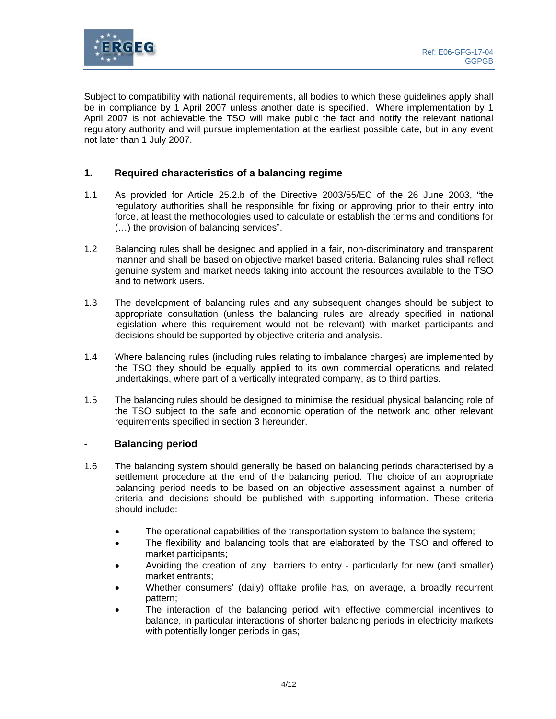

Subject to compatibility with national requirements, all bodies to which these guidelines apply shall be in compliance by 1 April 2007 unless another date is specified. Where implementation by 1 April 2007 is not achievable the TSO will make public the fact and notify the relevant national regulatory authority and will pursue implementation at the earliest possible date, but in any event not later than 1 July 2007.

# **1. Required characteristics of a balancing regime**

- 1.1 As provided for Article 25.2.b of the Directive 2003/55/EC of the 26 June 2003, "the regulatory authorities shall be responsible for fixing or approving prior to their entry into force, at least the methodologies used to calculate or establish the terms and conditions for (…) the provision of balancing services".
- 1.2 Balancing rules shall be designed and applied in a fair, non-discriminatory and transparent manner and shall be based on objective market based criteria. Balancing rules shall reflect genuine system and market needs taking into account the resources available to the TSO and to network users.
- 1.3 The development of balancing rules and any subsequent changes should be subject to appropriate consultation (unless the balancing rules are already specified in national legislation where this requirement would not be relevant) with market participants and decisions should be supported by objective criteria and analysis.
- 1.4 Where balancing rules (including rules relating to imbalance charges) are implemented by the TSO they should be equally applied to its own commercial operations and related undertakings, where part of a vertically integrated company, as to third parties.
- 1.5 The balancing rules should be designed to minimise the residual physical balancing role of the TSO subject to the safe and economic operation of the network and other relevant requirements specified in section 3 hereunder.

#### **- Balancing period**

- 1.6 The balancing system should generally be based on balancing periods characterised by a settlement procedure at the end of the balancing period. The choice of an appropriate balancing period needs to be based on an objective assessment against a number of criteria and decisions should be published with supporting information. These criteria should include:
	- The operational capabilities of the transportation system to balance the system;
	- The flexibility and balancing tools that are elaborated by the TSO and offered to market participants;
	- Avoiding the creation of any barriers to entry particularly for new (and smaller) market entrants;
	- Whether consumers' (daily) offtake profile has, on average, a broadly recurrent pattern;
	- The interaction of the balancing period with effective commercial incentives to balance, in particular interactions of shorter balancing periods in electricity markets with potentially longer periods in gas;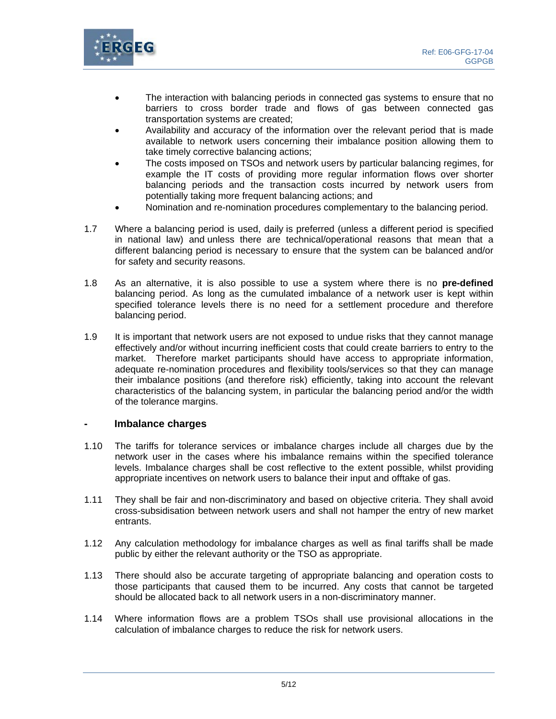

- The interaction with balancing periods in connected gas systems to ensure that no barriers to cross border trade and flows of gas between connected gas transportation systems are created;
- Availability and accuracy of the information over the relevant period that is made available to network users concerning their imbalance position allowing them to take timely corrective balancing actions;
- The costs imposed on TSOs and network users by particular balancing regimes, for example the IT costs of providing more regular information flows over shorter balancing periods and the transaction costs incurred by network users from potentially taking more frequent balancing actions; and
- Nomination and re-nomination procedures complementary to the balancing period.
- 1.7 Where a balancing period is used, daily is preferred (unless a different period is specified in national law) and unless there are technical/operational reasons that mean that a different balancing period is necessary to ensure that the system can be balanced and/or for safety and security reasons.
- 1.8 As an alternative, it is also possible to use a system where there is no **pre-defined** balancing period. As long as the cumulated imbalance of a network user is kept within specified tolerance levels there is no need for a settlement procedure and therefore balancing period.
- 1.9 It is important that network users are not exposed to undue risks that they cannot manage effectively and/or without incurring inefficient costs that could create barriers to entry to the market. Therefore market participants should have access to appropriate information, adequate re-nomination procedures and flexibility tools/services so that they can manage their imbalance positions (and therefore risk) efficiently, taking into account the relevant characteristics of the balancing system, in particular the balancing period and/or the width of the tolerance margins.

#### **- Imbalance charges**

- 1.10 The tariffs for tolerance services or imbalance charges include all charges due by the network user in the cases where his imbalance remains within the specified tolerance levels. Imbalance charges shall be cost reflective to the extent possible, whilst providing appropriate incentives on network users to balance their input and offtake of gas.
- 1.11 They shall be fair and non-discriminatory and based on objective criteria. They shall avoid cross-subsidisation between network users and shall not hamper the entry of new market entrants.
- 1.12 Any calculation methodology for imbalance charges as well as final tariffs shall be made public by either the relevant authority or the TSO as appropriate.
- 1.13 There should also be accurate targeting of appropriate balancing and operation costs to those participants that caused them to be incurred. Any costs that cannot be targeted should be allocated back to all network users in a non-discriminatory manner.
- 1.14 Where information flows are a problem TSOs shall use provisional allocations in the calculation of imbalance charges to reduce the risk for network users.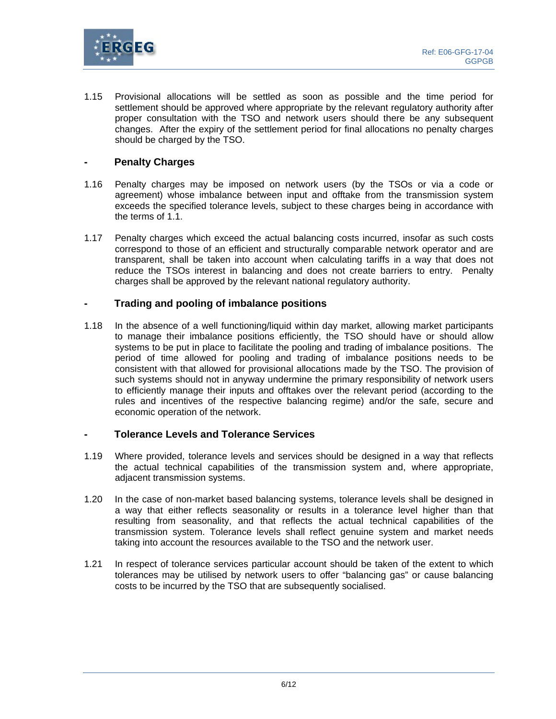

1.15 Provisional allocations will be settled as soon as possible and the time period for settlement should be approved where appropriate by the relevant regulatory authority after proper consultation with the TSO and network users should there be any subsequent changes. After the expiry of the settlement period for final allocations no penalty charges should be charged by the TSO.

# **- Penalty Charges**

- 1.16 Penalty charges may be imposed on network users (by the TSOs or via a code or agreement) whose imbalance between input and offtake from the transmission system exceeds the specified tolerance levels, subject to these charges being in accordance with the terms of 1.1.
- 1.17 Penalty charges which exceed the actual balancing costs incurred, insofar as such costs correspond to those of an efficient and structurally comparable network operator and are transparent, shall be taken into account when calculating tariffs in a way that does not reduce the TSOs interest in balancing and does not create barriers to entry. Penalty charges shall be approved by the relevant national regulatory authority.

# **- Trading and pooling of imbalance positions**

1.18 In the absence of a well functioning/liquid within day market, allowing market participants to manage their imbalance positions efficiently, the TSO should have or should allow systems to be put in place to facilitate the pooling and trading of imbalance positions. The period of time allowed for pooling and trading of imbalance positions needs to be consistent with that allowed for provisional allocations made by the TSO. The provision of such systems should not in anyway undermine the primary responsibility of network users to efficiently manage their inputs and offtakes over the relevant period (according to the rules and incentives of the respective balancing regime) and/or the safe, secure and economic operation of the network.

#### **- Tolerance Levels and Tolerance Services**

- 1.19 Where provided, tolerance levels and services should be designed in a way that reflects the actual technical capabilities of the transmission system and, where appropriate, adjacent transmission systems.
- 1.20 In the case of non-market based balancing systems, tolerance levels shall be designed in a way that either reflects seasonality or results in a tolerance level higher than that resulting from seasonality, and that reflects the actual technical capabilities of the transmission system. Tolerance levels shall reflect genuine system and market needs taking into account the resources available to the TSO and the network user.
- 1.21 In respect of tolerance services particular account should be taken of the extent to which tolerances may be utilised by network users to offer "balancing gas" or cause balancing costs to be incurred by the TSO that are subsequently socialised.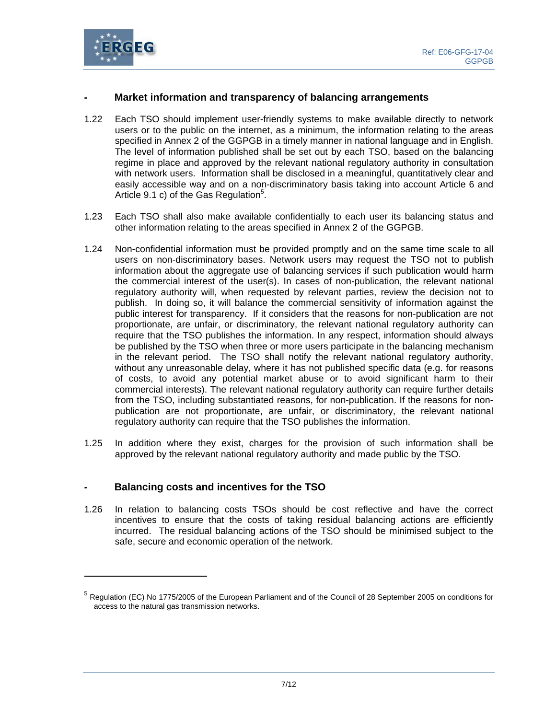

# *-* **Market information and transparency of balancing arrangements**

- 1.22 Each TSO should implement user-friendly systems to make available directly to network users or to the public on the internet, as a minimum, the information relating to the areas specified in Annex 2 of the GGPGB in a timely manner in national language and in English. The level of information published shall be set out by each TSO, based on the balancing regime in place and approved by the relevant national regulatory authority in consultation with network users. Information shall be disclosed in a meaningful, quantitatively clear and easily accessible way and on a non-discriminatory basis taking into account Article 6 and Article 9.1 c) of the Gas Regulation<sup>5</sup>.
- 1.23 Each TSO shall also make available confidentially to each user its balancing status and other information relating to the areas specified in Annex 2 of the GGPGB.
- 1.24 Non-confidential information must be provided promptly and on the same time scale to all users on non-discriminatory bases. Network users may request the TSO not to publish information about the aggregate use of balancing services if such publication would harm the commercial interest of the user(s). In cases of non-publication, the relevant national regulatory authority will, when requested by relevant parties, review the decision not to publish. In doing so, it will balance the commercial sensitivity of information against the public interest for transparency. If it considers that the reasons for non-publication are not proportionate, are unfair, or discriminatory, the relevant national regulatory authority can require that the TSO publishes the information. In any respect, information should always be published by the TSO when three or more users participate in the balancing mechanism in the relevant period. The TSO shall notify the relevant national regulatory authority, without any unreasonable delay, where it has not published specific data (e.g. for reasons of costs, to avoid any potential market abuse or to avoid significant harm to their commercial interests). The relevant national regulatory authority can require further details from the TSO, including substantiated reasons, for non-publication. If the reasons for nonpublication are not proportionate, are unfair, or discriminatory, the relevant national regulatory authority can require that the TSO publishes the information.
- 1.25 In addition where they exist, charges for the provision of such information shall be approved by the relevant national regulatory authority and made public by the TSO.

#### *-* **Balancing costs and incentives for the TSO**

l

1.26 In relation to balancing costs TSOs should be cost reflective and have the correct incentives to ensure that the costs of taking residual balancing actions are efficiently incurred. The residual balancing actions of the TSO should be minimised subject to the safe, secure and economic operation of the network.

<sup>&</sup>lt;sup>5</sup> Regulation (EC) No 1775/2005 of the European Parliament and of the Council of 28 September 2005 on conditions for access to the natural gas transmission networks.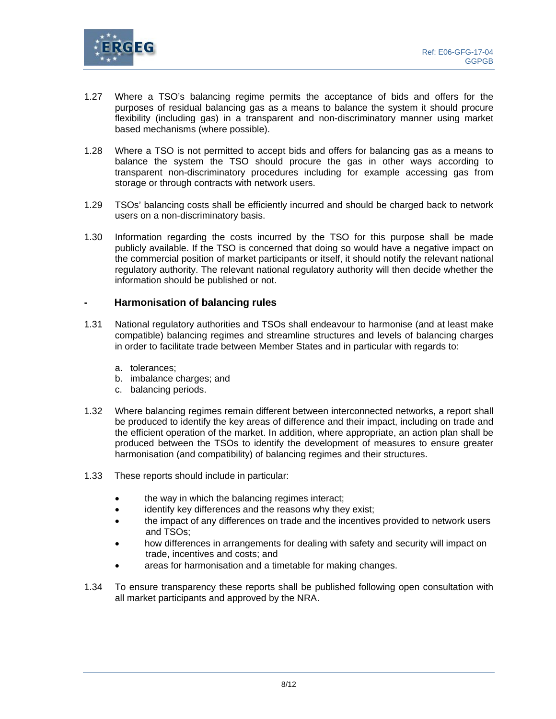

- 1.27 Where a TSO's balancing regime permits the acceptance of bids and offers for the purposes of residual balancing gas as a means to balance the system it should procure flexibility (including gas) in a transparent and non-discriminatory manner using market based mechanisms (where possible).
- 1.28 Where a TSO is not permitted to accept bids and offers for balancing gas as a means to balance the system the TSO should procure the gas in other ways according to transparent non-discriminatory procedures including for example accessing gas from storage or through contracts with network users.
- 1.29 TSOs' balancing costs shall be efficiently incurred and should be charged back to network users on a non-discriminatory basis.
- 1.30 Information regarding the costs incurred by the TSO for this purpose shall be made publicly available. If the TSO is concerned that doing so would have a negative impact on the commercial position of market participants or itself, it should notify the relevant national regulatory authority. The relevant national regulatory authority will then decide whether the information should be published or not.

#### **- Harmonisation of balancing rules**

- 1.31 National regulatory authorities and TSOs shall endeavour to harmonise (and at least make compatible) balancing regimes and streamline structures and levels of balancing charges in order to facilitate trade between Member States and in particular with regards to:
	- a. tolerances;
	- b. imbalance charges; and
	- c. balancing periods.
- 1.32 Where balancing regimes remain different between interconnected networks, a report shall be produced to identify the key areas of difference and their impact, including on trade and the efficient operation of the market. In addition, where appropriate, an action plan shall be produced between the TSOs to identify the development of measures to ensure greater harmonisation (and compatibility) of balancing regimes and their structures.
- 1.33 These reports should include in particular:
	- the way in which the balancing regimes interact;
	- identify key differences and the reasons why they exist;
	- the impact of any differences on trade and the incentives provided to network users and TSOs;
	- how differences in arrangements for dealing with safety and security will impact on trade, incentives and costs; and
	- areas for harmonisation and a timetable for making changes.
- 1.34 To ensure transparency these reports shall be published following open consultation with all market participants and approved by the NRA.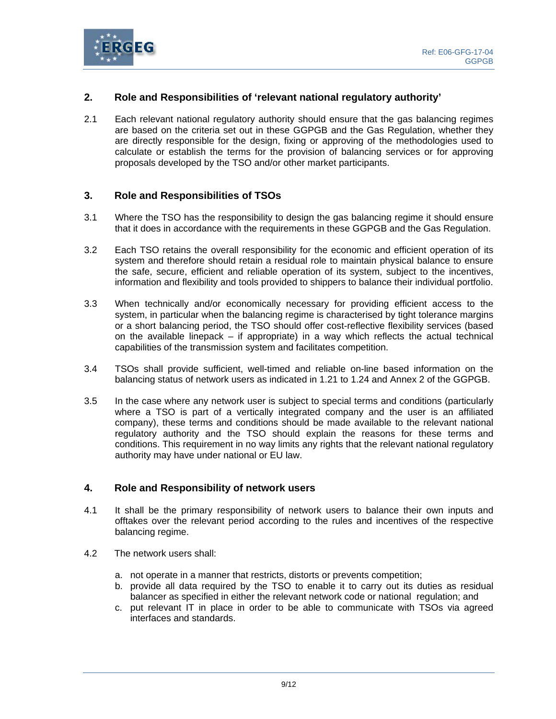

# **2. Role and Responsibilities of 'relevant national regulatory authority'**

2.1 Each relevant national regulatory authority should ensure that the gas balancing regimes are based on the criteria set out in these GGPGB and the Gas Regulation, whether they are directly responsible for the design, fixing or approving of the methodologies used to calculate or establish the terms for the provision of balancing services or for approving proposals developed by the TSO and/or other market participants.

# **3. Role and Responsibilities of TSOs**

- 3.1 Where the TSO has the responsibility to design the gas balancing regime it should ensure that it does in accordance with the requirements in these GGPGB and the Gas Regulation.
- 3.2 Each TSO retains the overall responsibility for the economic and efficient operation of its system and therefore should retain a residual role to maintain physical balance to ensure the safe, secure, efficient and reliable operation of its system, subject to the incentives, information and flexibility and tools provided to shippers to balance their individual portfolio.
- 3.3 When technically and/or economically necessary for providing efficient access to the system, in particular when the balancing regime is characterised by tight tolerance margins or a short balancing period, the TSO should offer cost-reflective flexibility services (based on the available linepack  $-$  if appropriate) in a way which reflects the actual technical capabilities of the transmission system and facilitates competition.
- 3.4 TSOs shall provide sufficient, well-timed and reliable on-line based information on the balancing status of network users as indicated in 1.21 to 1.24 and Annex 2 of the GGPGB.
- 3.5 In the case where any network user is subject to special terms and conditions (particularly where a TSO is part of a vertically integrated company and the user is an affiliated company), these terms and conditions should be made available to the relevant national regulatory authority and the TSO should explain the reasons for these terms and conditions. This requirement in no way limits any rights that the relevant national regulatory authority may have under national or EU law.

#### **4. Role and Responsibility of network users**

- 4.1 It shall be the primary responsibility of network users to balance their own inputs and offtakes over the relevant period according to the rules and incentives of the respective balancing regime.
- 4.2 The network users shall:
	- a. not operate in a manner that restricts, distorts or prevents competition;
	- b. provide all data required by the TSO to enable it to carry out its duties as residual balancer as specified in either the relevant network code or national regulation; and
	- c. put relevant IT in place in order to be able to communicate with TSOs via agreed interfaces and standards.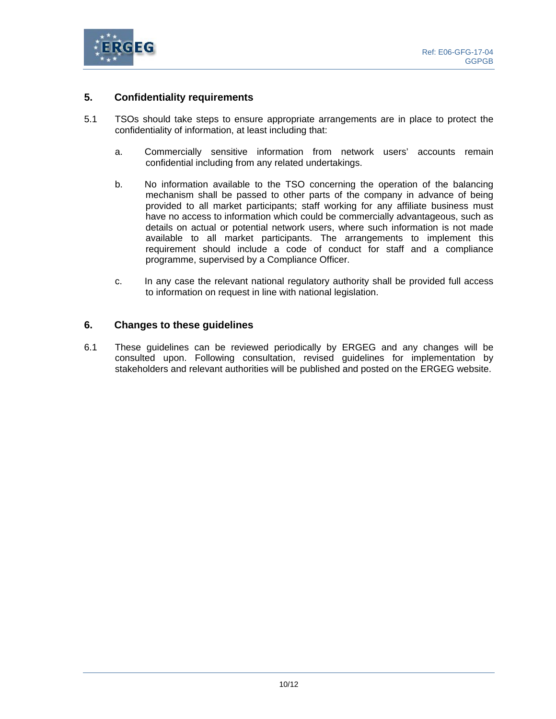

# **5. Confidentiality requirements**

- 5.1 TSOs should take steps to ensure appropriate arrangements are in place to protect the confidentiality of information, at least including that:
	- a. Commercially sensitive information from network users' accounts remain confidential including from any related undertakings.
	- b. No information available to the TSO concerning the operation of the balancing mechanism shall be passed to other parts of the company in advance of being provided to all market participants; staff working for any affiliate business must have no access to information which could be commercially advantageous, such as details on actual or potential network users, where such information is not made available to all market participants. The arrangements to implement this requirement should include a code of conduct for staff and a compliance programme, supervised by a Compliance Officer.
	- c. In any case the relevant national regulatory authority shall be provided full access to information on request in line with national legislation.

#### **6. Changes to these guidelines**

6.1 These guidelines can be reviewed periodically by ERGEG and any changes will be consulted upon. Following consultation, revised guidelines for implementation by stakeholders and relevant authorities will be published and posted on the ERGEG website.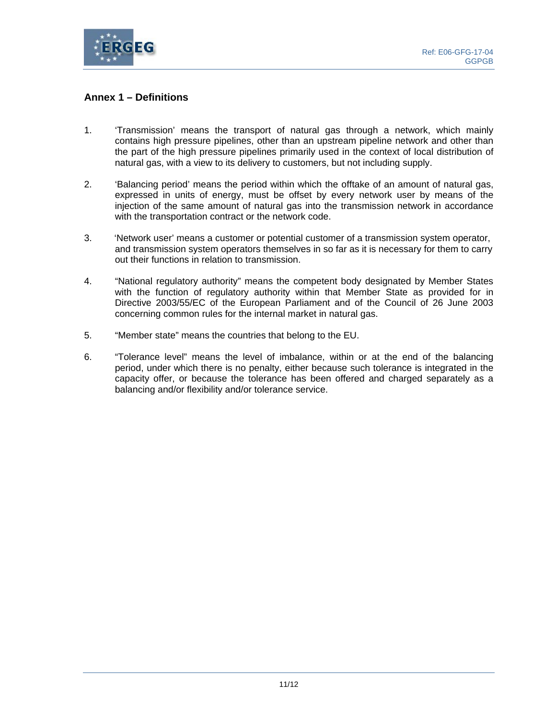

# **Annex 1 – Definitions**

- 1. 'Transmission' means the transport of natural gas through a network, which mainly contains high pressure pipelines, other than an upstream pipeline network and other than the part of the high pressure pipelines primarily used in the context of local distribution of natural gas, with a view to its delivery to customers, but not including supply.
- 2. 'Balancing period' means the period within which the offtake of an amount of natural gas, expressed in units of energy, must be offset by every network user by means of the injection of the same amount of natural gas into the transmission network in accordance with the transportation contract or the network code.
- 3. 'Network user' means a customer or potential customer of a transmission system operator, and transmission system operators themselves in so far as it is necessary for them to carry out their functions in relation to transmission.
- 4. "National regulatory authority" means the competent body designated by Member States with the function of regulatory authority within that Member State as provided for in Directive 2003/55/EC of the European Parliament and of the Council of 26 June 2003 concerning common rules for the internal market in natural gas.
- 5. "Member state" means the countries that belong to the EU.
- 6. "Tolerance level" means the level of imbalance, within or at the end of the balancing period, under which there is no penalty, either because such tolerance is integrated in the capacity offer, or because the tolerance has been offered and charged separately as a balancing and/or flexibility and/or tolerance service.